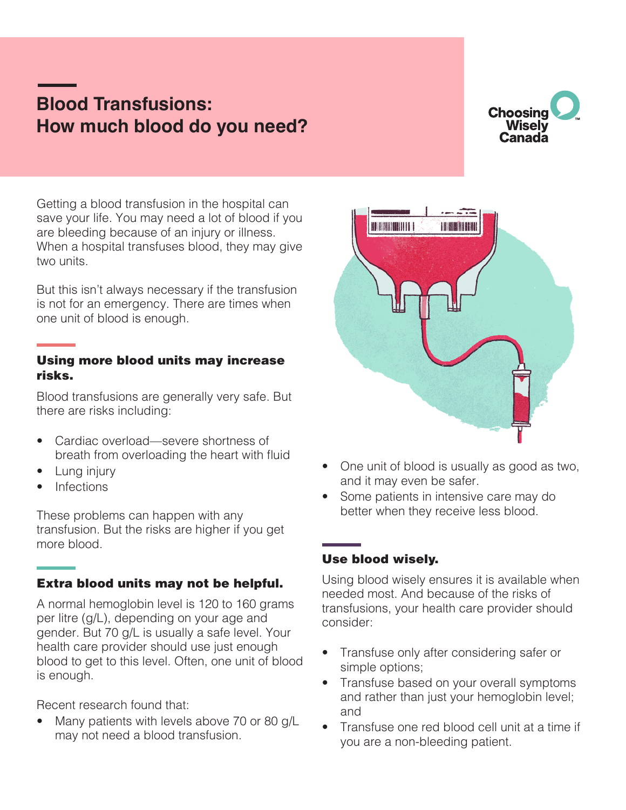# **Blood Transfusions: How much blood do you need?**

## **Choosing Wisely** Canada

Getting a blood transfusion in the hospital can save your life. You may need a lot of blood if you are bleeding because of an injury or illness. When a hospital transfuses blood, they may give two units.

But this isn't always necessary if the transfusion is not for an emergency. There are times when one unit of blood is enough.

#### Using more blood units may increase risks.

Blood transfusions are generally very safe. But there are risks including:

- Cardiac overload—severe shortness of breath from overloading the heart with fluid
- Lung injury
- Infections

These problems can happen with any transfusion. But the risks are higher if you get more blood.

#### Extra blood units may not be helpful.

A normal hemoglobin level is 120 to 160 grams per litre (g/L), depending on your age and gender. But 70 g/L is usually a safe level. Your health care provider should use just enough blood to get to this level. Often, one unit of blood is enough.

Recent research found that:

Many patients with levels above 70 or 80 g/L may not need a blood transfusion.



- One unit of blood is usually as good as two, and it may even be safer.
- Some patients in intensive care may do better when they receive less blood.

### Use blood wisely.

Using blood wisely ensures it is available when needed most. And because of the risks of transfusions, your health care provider should consider:

- Transfuse only after considering safer or simple options;
- Transfuse based on your overall symptoms and rather than just your hemoglobin level; and
- Transfuse one red blood cell unit at a time if you are a non-bleeding patient.